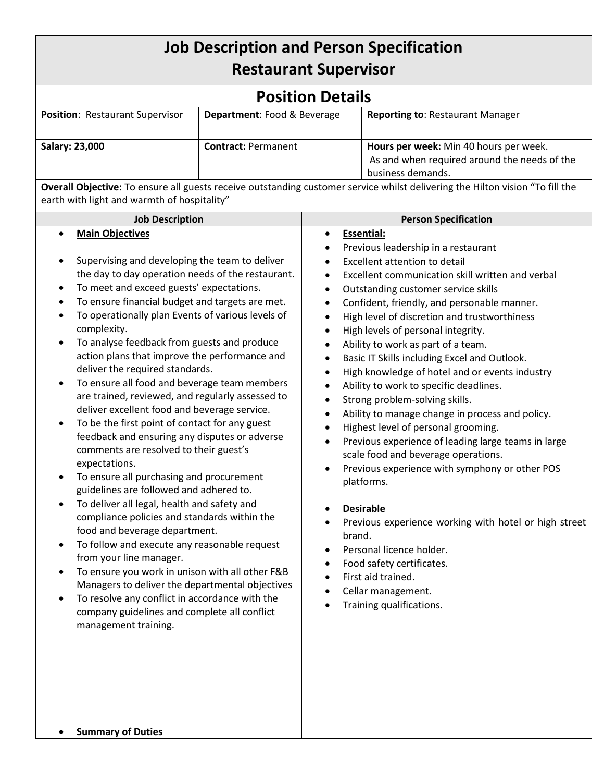## **Job Description and Person Specification Restaurant Supervisor**

| <b>Position Details</b>                |                             |                                                                                                             |  |
|----------------------------------------|-----------------------------|-------------------------------------------------------------------------------------------------------------|--|
| <b>Position: Restaurant Supervisor</b> | Department: Food & Beverage | <b>Reporting to: Restaurant Manager</b>                                                                     |  |
| Salary: 23,000                         | <b>Contract: Permanent</b>  | Hours per week: Min 40 hours per week.<br>As and when required around the needs of the<br>business demands. |  |

**Overall Objective:** To ensure all guests receive outstanding customer service whilst delivering the Hilton vision "To fill the earth with light and warmth of hospitality"

| <b>Job Description</b>                                   | <b>Person Specification</b>                                        |  |
|----------------------------------------------------------|--------------------------------------------------------------------|--|
| <b>Main Objectives</b>                                   | <b>Essential:</b><br>$\bullet$                                     |  |
|                                                          | Previous leadership in a restaurant<br>$\bullet$                   |  |
| Supervising and developing the team to deliver           | Excellent attention to detail                                      |  |
| the day to day operation needs of the restaurant.        | Excellent communication skill written and verbal<br>$\bullet$      |  |
| To meet and exceed guests' expectations.                 | Outstanding customer service skills<br>$\bullet$                   |  |
| To ensure financial budget and targets are met.          | Confident, friendly, and personable manner.<br>$\bullet$           |  |
| To operationally plan Events of various levels of        | High level of discretion and trustworthiness<br>$\bullet$          |  |
| complexity.                                              | High levels of personal integrity.<br>$\bullet$                    |  |
| To analyse feedback from guests and produce              | Ability to work as part of a team.<br>$\bullet$                    |  |
| action plans that improve the performance and            | Basic IT Skills including Excel and Outlook.<br>$\bullet$          |  |
| deliver the required standards.                          | High knowledge of hotel and or events industry<br>$\bullet$        |  |
| To ensure all food and beverage team members             | Ability to work to specific deadlines.<br>$\bullet$                |  |
| are trained, reviewed, and regularly assessed to         | Strong problem-solving skills.<br>$\bullet$                        |  |
| deliver excellent food and beverage service.             | Ability to manage change in process and policy.<br>$\bullet$       |  |
| To be the first point of contact for any guest           | Highest level of personal grooming.<br>$\bullet$                   |  |
| feedback and ensuring any disputes or adverse            | Previous experience of leading large teams in large<br>$\bullet$   |  |
| comments are resolved to their guest's<br>expectations.  | scale food and beverage operations.                                |  |
| To ensure all purchasing and procurement                 | Previous experience with symphony or other POS<br>$\bullet$        |  |
| guidelines are followed and adhered to.                  | platforms.                                                         |  |
| To deliver all legal, health and safety and<br>$\bullet$ | <b>Desirable</b><br>$\bullet$                                      |  |
| compliance policies and standards within the             | Previous experience working with hotel or high street<br>$\bullet$ |  |
| food and beverage department.                            | brand.                                                             |  |
| To follow and execute any reasonable request             | Personal licence holder.<br>$\bullet$                              |  |
| from your line manager.                                  | Food safety certificates.<br>$\bullet$                             |  |
| To ensure you work in unison with all other F&B          | First aid trained.<br>$\bullet$                                    |  |
| Managers to deliver the departmental objectives          | Cellar management.<br>$\bullet$                                    |  |
| To resolve any conflict in accordance with the           | Training qualifications.<br>$\bullet$                              |  |
| company guidelines and complete all conflict             |                                                                    |  |
| management training.                                     |                                                                    |  |
|                                                          |                                                                    |  |
|                                                          |                                                                    |  |
|                                                          |                                                                    |  |
|                                                          |                                                                    |  |